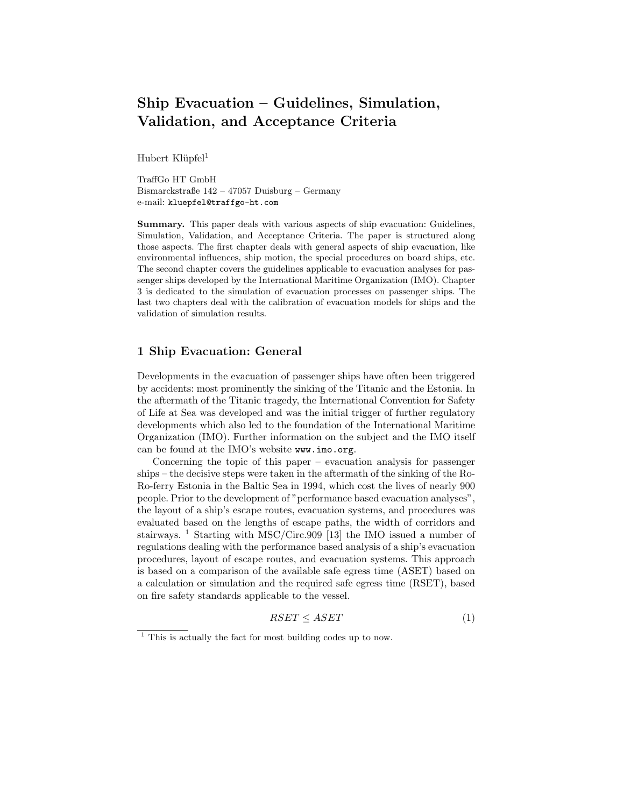# Ship Evacuation – Guidelines, Simulation, Validation, and Acceptance Criteria

Hubert Klüpfel<sup>1</sup>

TraffGo HT GmbH Bismarckstraße 142 – 47057 Duisburg – Germany e-mail: kluepfel@traffgo-ht.com

Summary. This paper deals with various aspects of ship evacuation: Guidelines, Simulation, Validation, and Acceptance Criteria. The paper is structured along those aspects. The first chapter deals with general aspects of ship evacuation, like environmental influences, ship motion, the special procedures on board ships, etc. The second chapter covers the guidelines applicable to evacuation analyses for passenger ships developed by the International Maritime Organization (IMO). Chapter 3 is dedicated to the simulation of evacuation processes on passenger ships. The last two chapters deal with the calibration of evacuation models for ships and the validation of simulation results.

## 1 Ship Evacuation: General

Developments in the evacuation of passenger ships have often been triggered by accidents: most prominently the sinking of the Titanic and the Estonia. In the aftermath of the Titanic tragedy, the International Convention for Safety of Life at Sea was developed and was the initial trigger of further regulatory developments which also led to the foundation of the International Maritime Organization (IMO). Further information on the subject and the IMO itself can be found at the IMO's website www.imo.org.

Concerning the topic of this paper – evacuation analysis for passenger ships – the decisive steps were taken in the aftermath of the sinking of the Ro-Ro-ferry Estonia in the Baltic Sea in 1994, which cost the lives of nearly 900 people. Prior to the development of "performance based evacuation analyses", the layout of a ship's escape routes, evacuation systems, and procedures was evaluated based on the lengths of escape paths, the width of corridors and stairways. <sup>1</sup> Starting with MSC/Circ.909 [13] the IMO issued a number of regulations dealing with the performance based analysis of a ship's evacuation procedures, layout of escape routes, and evacuation systems. This approach is based on a comparison of the available safe egress time (ASET) based on a calculation or simulation and the required safe egress time (RSET), based on fire safety standards applicable to the vessel.

$$
RSET \le ASET \tag{1}
$$

 $<sup>1</sup>$  This is actually the fact for most building codes up to now.</sup>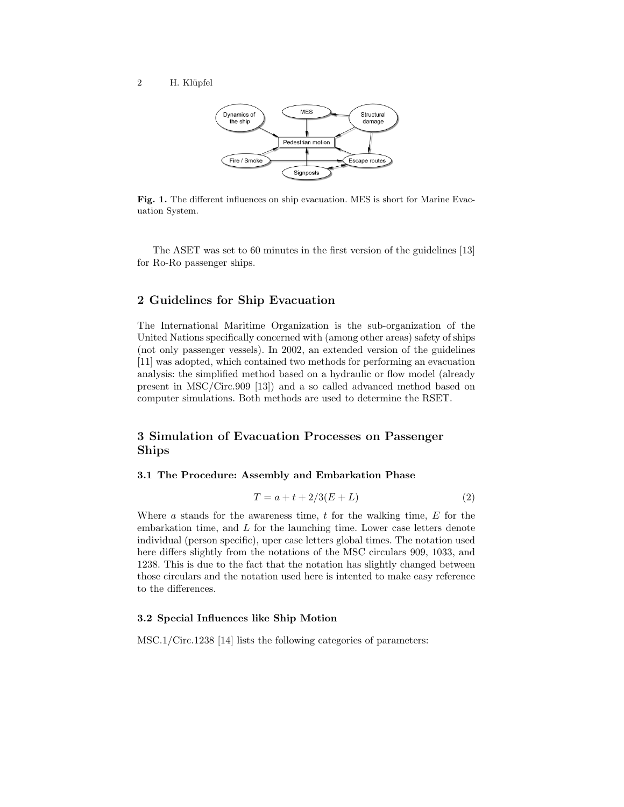

Fig. 1. The different influences on ship evacuation. MES is short for Marine Evacuation System.

The ASET was set to 60 minutes in the first version of the guidelines [13] for Ro-Ro passenger ships.

# 2 Guidelines for Ship Evacuation

The International Maritime Organization is the sub-organization of the United Nations specifically concerned with (among other areas) safety of ships (not only passenger vessels). In 2002, an extended version of the guidelines [11] was adopted, which contained two methods for performing an evacuation analysis: the simplified method based on a hydraulic or flow model (already present in MSC/Circ.909 [13]) and a so called advanced method based on computer simulations. Both methods are used to determine the RSET.

# 3 Simulation of Evacuation Processes on Passenger Ships

#### 3.1 The Procedure: Assembly and Embarkation Phase

$$
T = a + t + 2/3(E + L)
$$
 (2)

Where  $a$  stands for the awareness time,  $t$  for the walking time,  $E$  for the embarkation time, and L for the launching time. Lower case letters denote individual (person specific), uper case letters global times. The notation used here differs slightly from the notations of the MSC circulars 909, 1033, and 1238. This is due to the fact that the notation has slightly changed between those circulars and the notation used here is intented to make easy reference to the differences.

#### 3.2 Special Influences like Ship Motion

MSC.1/Circ.1238 [14] lists the following categories of parameters: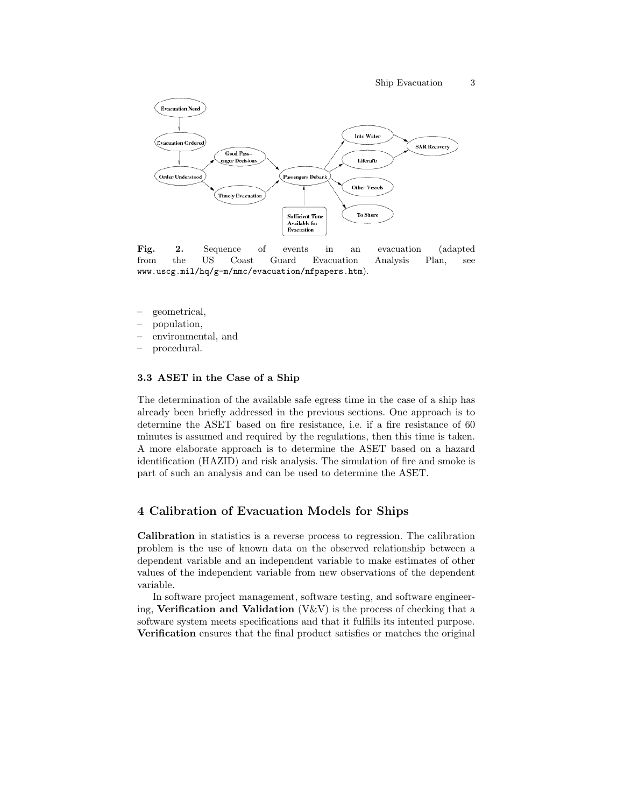

Fig. 2. Sequence of events in an evacuation (adapted from the US Coast Guard Evacuation Analysis Plan, see www.uscg.mil/hq/g-m/nmc/evacuation/nfpapers.htm).

- geometrical,
- population,
- environmental, and
- procedural.

#### 3.3 ASET in the Case of a Ship

The determination of the available safe egress time in the case of a ship has already been briefly addressed in the previous sections. One approach is to determine the ASET based on fire resistance, i.e. if a fire resistance of 60 minutes is assumed and required by the regulations, then this time is taken. A more elaborate approach is to determine the ASET based on a hazard identification (HAZID) and risk analysis. The simulation of fire and smoke is part of such an analysis and can be used to determine the ASET.

### 4 Calibration of Evacuation Models for Ships

Calibration in statistics is a reverse process to regression. The calibration problem is the use of known data on the observed relationship between a dependent variable and an independent variable to make estimates of other values of the independent variable from new observations of the dependent variable.

In software project management, software testing, and software engineering, Verification and Validation  $(V&V)$  is the process of checking that a software system meets specifications and that it fulfills its intented purpose. Verification ensures that the final product satisfies or matches the original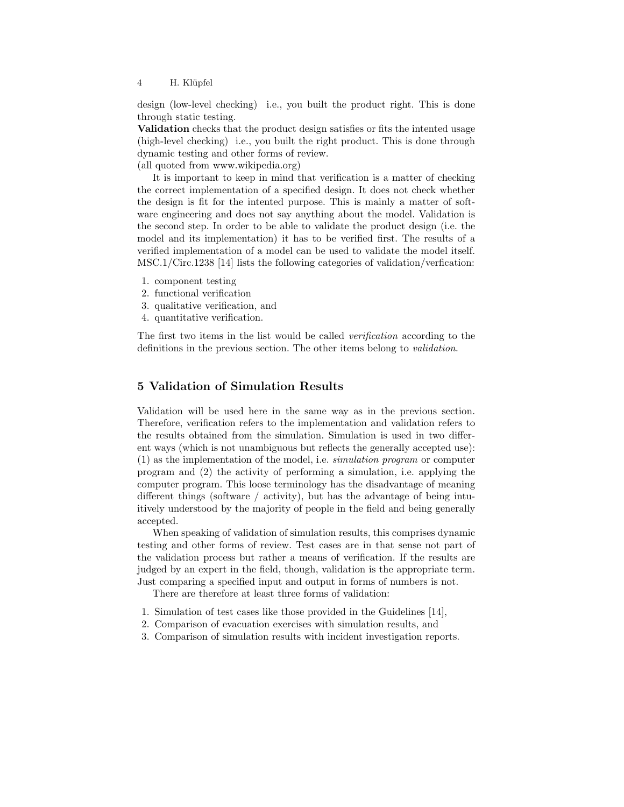4 H. Klüpfel

design (low-level checking) i.e., you built the product right. This is done through static testing.

Validation checks that the product design satisfies or fits the intented usage (high-level checking) i.e., you built the right product. This is done through dynamic testing and other forms of review.

(all quoted from www.wikipedia.org)

It is important to keep in mind that verification is a matter of checking the correct implementation of a specified design. It does not check whether the design is fit for the intented purpose. This is mainly a matter of software engineering and does not say anything about the model. Validation is the second step. In order to be able to validate the product design (i.e. the model and its implementation) it has to be verified first. The results of a verified implementation of a model can be used to validate the model itself. MSC.1/Circ.1238 [14] lists the following categories of validation/verfication:

- 1. component testing
- 2. functional verification
- 3. qualitative verification, and
- 4. quantitative verification.

The first two items in the list would be called verification according to the definitions in the previous section. The other items belong to validation.

# 5 Validation of Simulation Results

Validation will be used here in the same way as in the previous section. Therefore, verification refers to the implementation and validation refers to the results obtained from the simulation. Simulation is used in two different ways (which is not unambiguous but reflects the generally accepted use): (1) as the implementation of the model, i.e. simulation program or computer program and (2) the activity of performing a simulation, i.e. applying the computer program. This loose terminology has the disadvantage of meaning different things (software / activity), but has the advantage of being intuitively understood by the majority of people in the field and being generally accepted.

When speaking of validation of simulation results, this comprises dynamic testing and other forms of review. Test cases are in that sense not part of the validation process but rather a means of verification. If the results are judged by an expert in the field, though, validation is the appropriate term. Just comparing a specified input and output in forms of numbers is not.

There are therefore at least three forms of validation:

- 1. Simulation of test cases like those provided in the Guidelines [14],
- 2. Comparison of evacuation exercises with simulation results, and
- 3. Comparison of simulation results with incident investigation reports.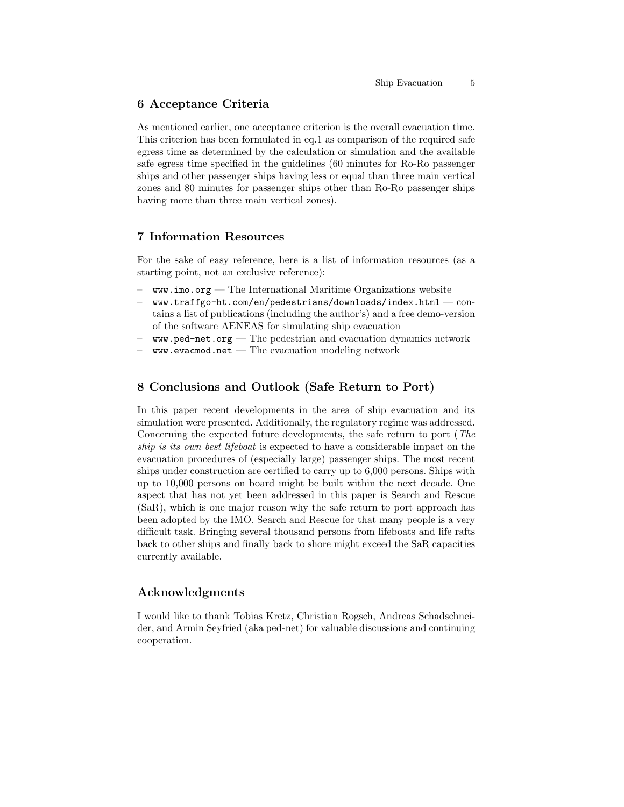#### 6 Acceptance Criteria

As mentioned earlier, one acceptance criterion is the overall evacuation time. This criterion has been formulated in eq.1 as comparison of the required safe egress time as determined by the calculation or simulation and the available safe egress time specified in the guidelines (60 minutes for Ro-Ro passenger ships and other passenger ships having less or equal than three main vertical zones and 80 minutes for passenger ships other than Ro-Ro passenger ships having more than three main vertical zones).

### 7 Information Resources

For the sake of easy reference, here is a list of information resources (as a starting point, not an exclusive reference):

- $www.imo.org$  The International Maritime Organizations website
- $www.traffgo-ht.com/en/pedestrians/downloads/index.html \text{---}$ tains a list of publications (including the author's) and a free demo-version of the software AENEAS for simulating ship evacuation
- $\,$  www.ped-net.org The pedestrian and evacuation dynamics network
- $www.evacmod.net$  The evacuation modeling network

### 8 Conclusions and Outlook (Safe Return to Port)

In this paper recent developments in the area of ship evacuation and its simulation were presented. Additionally, the regulatory regime was addressed. Concerning the expected future developments, the safe return to port (The ship is its own best lifeboat is expected to have a considerable impact on the evacuation procedures of (especially large) passenger ships. The most recent ships under construction are certified to carry up to 6,000 persons. Ships with up to 10,000 persons on board might be built within the next decade. One aspect that has not yet been addressed in this paper is Search and Rescue (SaR), which is one major reason why the safe return to port approach has been adopted by the IMO. Search and Rescue for that many people is a very difficult task. Bringing several thousand persons from lifeboats and life rafts back to other ships and finally back to shore might exceed the SaR capacities currently available.

#### Acknowledgments

I would like to thank Tobias Kretz, Christian Rogsch, Andreas Schadschneider, and Armin Seyfried (aka ped-net) for valuable discussions and continuing cooperation.